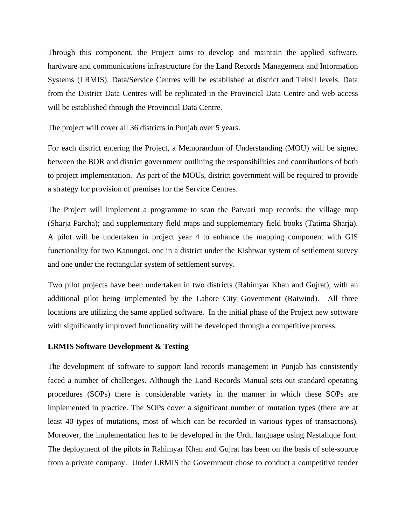Through this component, the Project aims to develop and maintain the applied software, hardware and communications infrastructure for the Land Records Management and Information Systems (LRMIS). Data/Service Centres will be established at district and Tehsil levels. Data from the District Data Centres will be replicated in the Provincial Data Centre and web access will be established through the Provincial Data Centre.

The project will cover all 36 districts in Punjab over 5 years.

For each district entering the Project, a Memorandum of Understanding (MOU) will be signed between the BOR and district government outlining the responsibilities and contributions of both to project implementation. As part of the MOUs, district government will be required to provide a strategy for provision of premises for the Service Centres.

The Project will implement a programme to scan the Patwari map records: the village map (Sharja Parcha); and supplementary field maps and supplementary field books (Tatima Sharja). A pilot will be undertaken in project year 4 to enhance the mapping component with GIS functionality for two Kanungoi, one in a district under the Kishtwar system of settlement survey and one under the rectangular system of settlement survey.

Two pilot projects have been undertaken in two districts (Rahimyar Khan and Gujrat), with an additional pilot being implemented by the Lahore City Government (Raiwind). All three locations are utilizing the same applied software. In the initial phase of the Project new software with significantly improved functionality will be developed through a competitive process.

#### **LRMIS Software Development & Testing**

The development of software to support land records management in Punjab has consistently faced a number of challenges. Although the Land Records Manual sets out standard operating procedures (SOPs) there is considerable variety in the manner in which these SOPs are implemented in practice. The SOPs cover a significant number of mutation types (there are at least 40 types of mutations, most of which can be recorded in various types of transactions). Moreover, the implementation has to be developed in the Urdu language using Nastalique font. The deployment of the pilots in Rahimyar Khan and Gujrat has been on the basis of sole-source from a private company. Under LRMIS the Government chose to conduct a competitive tender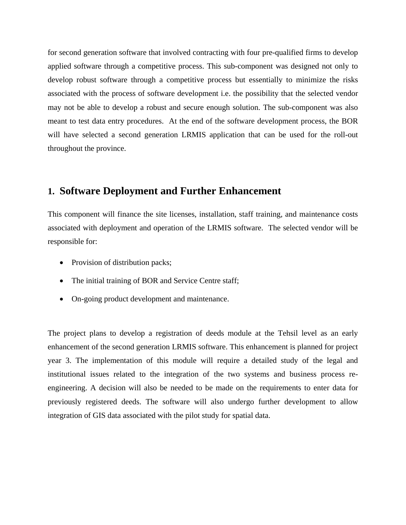for second generation software that involved contracting with four pre-qualified firms to develop applied software through a competitive process. This sub-component was designed not only to develop robust software through a competitive process but essentially to minimize the risks associated with the process of software development i.e. the possibility that the selected vendor may not be able to develop a robust and secure enough solution. The sub-component was also meant to test data entry procedures. At the end of the software development process, the BOR will have selected a second generation LRMIS application that can be used for the roll-out throughout the province.

#### **1. Software Deployment and Further Enhancement**

This component will finance the site licenses, installation, staff training, and maintenance costs associated with deployment and operation of the LRMIS software. The selected vendor will be responsible for:

- Provision of distribution packs;
- The initial training of BOR and Service Centre staff;
- On-going product development and maintenance.

The project plans to develop a registration of deeds module at the Tehsil level as an early enhancement of the second generation LRMIS software. This enhancement is planned for project year 3. The implementation of this module will require a detailed study of the legal and institutional issues related to the integration of the two systems and business process reengineering. A decision will also be needed to be made on the requirements to enter data for previously registered deeds. The software will also undergo further development to allow integration of GIS data associated with the pilot study for spatial data.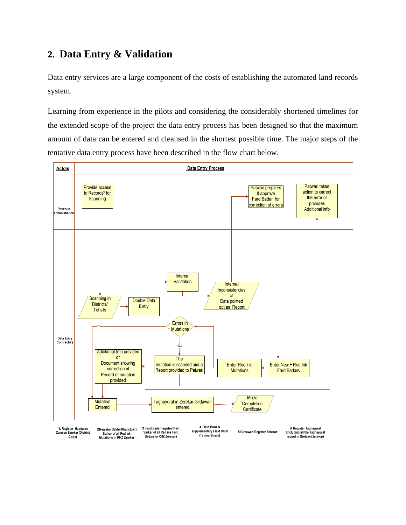# **2. Data Entry & Validation**

Data entry services are a large component of the costs of establishing the automated land records system.

Learning from experience in the pilots and considering the considerably shortened timelines for the extended scope of the project the data entry process has been designed so that the maximum amount of data can be entered and cleansed in the shortest possible time. The major steps of the tentative data entry process have been described in the flow chart below.

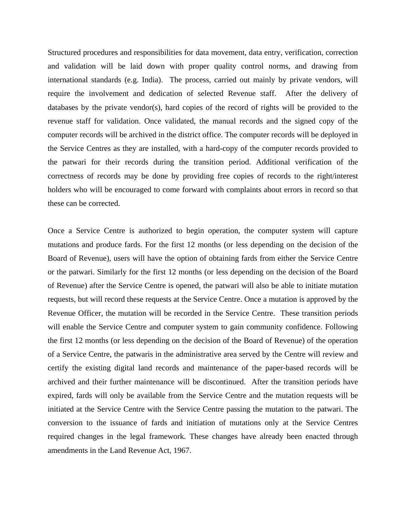Structured procedures and responsibilities for data movement, data entry, verification, correction and validation will be laid down with proper quality control norms, and drawing from international standards (e.g. India). The process, carried out mainly by private vendors, will require the involvement and dedication of selected Revenue staff. After the delivery of databases by the private vendor(s), hard copies of the record of rights will be provided to the revenue staff for validation. Once validated, the manual records and the signed copy of the computer records will be archived in the district office. The computer records will be deployed in the Service Centres as they are installed, with a hard-copy of the computer records provided to the patwari for their records during the transition period. Additional verification of the correctness of records may be done by providing free copies of records to the right/interest holders who will be encouraged to come forward with complaints about errors in record so that these can be corrected.

Once a Service Centre is authorized to begin operation, the computer system will capture mutations and produce fards. For the first 12 months (or less depending on the decision of the Board of Revenue), users will have the option of obtaining fards from either the Service Centre or the patwari. Similarly for the first 12 months (or less depending on the decision of the Board of Revenue) after the Service Centre is opened, the patwari will also be able to initiate mutation requests, but will record these requests at the Service Centre. Once a mutation is approved by the Revenue Officer, the mutation will be recorded in the Service Centre. These transition periods will enable the Service Centre and computer system to gain community confidence. Following the first 12 months (or less depending on the decision of the Board of Revenue) of the operation of a Service Centre, the patwaris in the administrative area served by the Centre will review and certify the existing digital land records and maintenance of the paper-based records will be archived and their further maintenance will be discontinued. After the transition periods have expired, fards will only be available from the Service Centre and the mutation requests will be initiated at the Service Centre with the Service Centre passing the mutation to the patwari. The conversion to the issuance of fards and initiation of mutations only at the Service Centres required changes in the legal framework. These changes have already been enacted through amendments in the Land Revenue Act, 1967.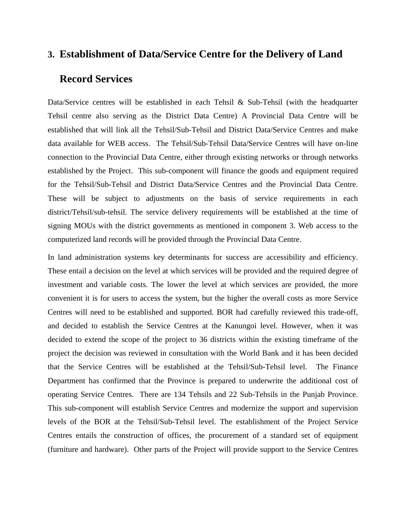### **3. Establishment of Data/Service Centre for the Delivery of Land**

## **Record Services**

Data/Service centres will be established in each Tehsil  $\&$  Sub-Tehsil (with the headquarter Tehsil centre also serving as the District Data Centre) A Provincial Data Centre will be established that will link all the Tehsil/Sub-Tehsil and District Data/Service Centres and make data available for WEB access. The Tehsil/Sub-Tehsil Data/Service Centres will have on-line connection to the Provincial Data Centre, either through existing networks or through networks established by the Project. This sub-component will finance the goods and equipment required for the Tehsil/Sub-Tehsil and District Data/Service Centres and the Provincial Data Centre. These will be subject to adjustments on the basis of service requirements in each district/Tehsil/sub-tehsil. The service delivery requirements will be established at the time of signing MOUs with the district governments as mentioned in component 3. Web access to the computerized land records will be provided through the Provincial Data Centre.

In land administration systems key determinants for success are accessibility and efficiency. These entail a decision on the level at which services will be provided and the required degree of investment and variable costs. The lower the level at which services are provided, the more convenient it is for users to access the system, but the higher the overall costs as more Service Centres will need to be established and supported. BOR had carefully reviewed this trade-off, and decided to establish the Service Centres at the Kanungoi level. However, when it was decided to extend the scope of the project to 36 districts within the existing timeframe of the project the decision was reviewed in consultation with the World Bank and it has been decided that the Service Centres will be established at the Tehsil/Sub-Tehsil level. The Finance Department has confirmed that the Province is prepared to underwrite the additional cost of operating Service Centres. There are 134 Tehsils and 22 Sub-Tehsils in the Punjab Province. This sub-component will establish Service Centres and modernize the support and supervision levels of the BOR at the Tehsil/Sub-Tehsil level. The establishment of the Project Service Centres entails the construction of offices, the procurement of a standard set of equipment (furniture and hardware). Other parts of the Project will provide support to the Service Centres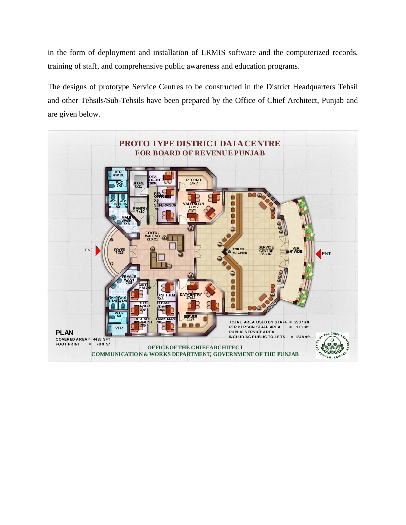in the form of deployment and installation of LRMIS software and the computerized records, training of staff, and comprehensive public awareness and education programs.

The designs of prototype Service Centres to be constructed in the District Headquarters Tehsil and other Tehsils/Sub-Tehsils have been prepared by the Office of Chief Architect, Punjab and are given below.

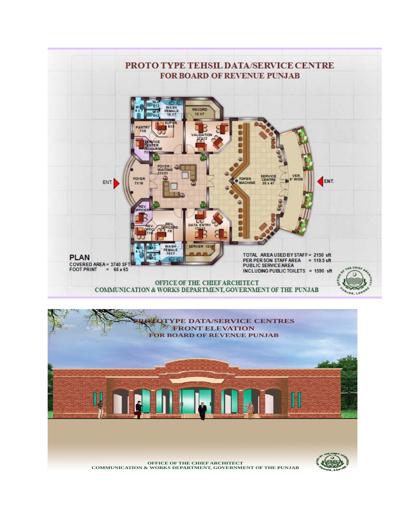

**OFFICE OF THE CHIEF ARCHITECT COMMUNICATION & WORKS DEPARTMENT, GOVERNMENT OF THE PUNJAB**